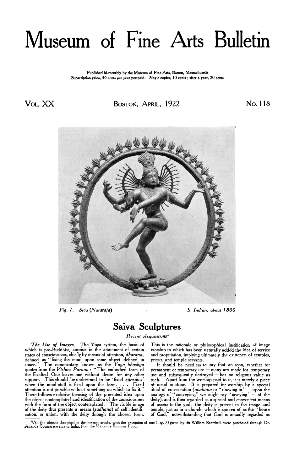# <span id="page-0-0"></span>Museum of Fine Arts Bulletin

**Published bi-monthly by the Museum of Fine Arts. Boston. Massachusetts**  Subscription price, 50 cents per year postpaid. Single copies, 10 cents; after a year, 20 cents

**Vol.** XX BOSTON, APRIL, 1922 No. 118



*Fig. 1. Siva (Nataraja)* S. *Indian, about 1800* 

## **Saiva Sculptures**  *Recent Acquisitions"*

*The Use of Images.* The Yoga system, the basis of which is pre-Buddhist, consists in the attainment of certain states of consciousness, chiefly by means of attention, *dharana,*  states of consciousness, chiefly by means of attention, *dharana*, defined as " fixing the mind upon some object defined in space." The commentary known as the *Yoga bhashya* quotes from the *Vishnu Purana* : " The embodie the Exalted One leaves one without desire for any other quotes from the *Vishnu Purana*: "The embodied form of the Exalted One leaves one without desire for any other the understood to be ' fixed attention ' subspace the mind and the fixed unon this ferm when the mind-stuff is fixed upon this form. . . . Fixed attention is not possible without something on which to fix it.' There follows exclusive focusing of the presented idea upon the object contemplated and identification of the consciousness with the form of the object contemplated. The visible image of the deity thus presents a means *(sadhana)* of self-identification, or union, with the deity through the chosen form.

This is the rationale or philosophical justification of image worship to which has been naturally added the idea of service and propitiation, implying ultimately the existence of temples, priests, and temple servants.

It should be needless to say that an icon, whether for priests, and temple servants.<br>
It should be needless to say that an icon, whether for<br>
permanent or temporary use — many are made for temporary<br>
use and subsequently destroyed— has no religious value as such. Apart from the worship paid to it, it is merely a piece of metal or stone. It is prepared for worship by a special such. Apart from the worship paid to it, it is merely a piece<br>of metal or stone. It is prepared for worship by a special<br>ritual of consecration (*avahana* or "drawing in"—upon the<br>analogy of "conveying," we might say "inve

\*All the objects described in the present article, with the exception of one (Fig. 7) given by Sir William Beardsell, were purchased through Dr.<br>Ananda Coomaraswamy in India, from the Marianne Brimmer Fund.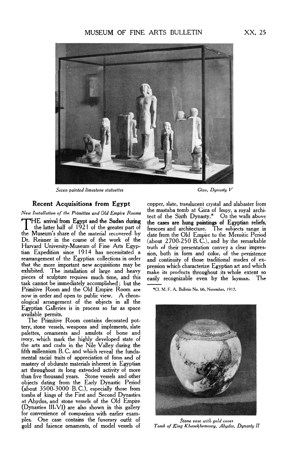### MUSEUM OF FINE ARTS BULLETIN XX, 25



*Seven painted limestone statuettes Giza, Dynasty V* 

*New Installation of the Primitice and Old Empire Rooms* 

THE arrival from Egypt and the Sudan during the cases are hung paintings of Egyptian reliefs, the latter half of 1921 of the greater part of frescoes and architecture. The subjects range in the Museum's share of the material recovered by date from the Old Empire to the Meroitic Period Dr. Reisner in the course **of** the work **of** the Harvard University-Museum of Fine Arts Egyptian Expedition since 1914 has necessitated a rearrangement of the Egyptian collections in order that the more important new acquisitions may be exhibited. The installation of large and heavy pieces **of** sculpture requires much time, and this task cannot be immediately accomplished ; but the Primitive Room and the Old Empire Room are now in order and open to public view. A chronological arrangement of the objects in all the Egyptian Galleries is in process so far as space available permits.

The Primitive Room contains decorated pottery, stone vessels, weapons and implements, slate palettes, ornaments and amulets of bone and ivory, which mark the highly developed state of the arts and crafts in the Nile Valley during the fifth millennium B.C. and which reveal the fundamental racial traits of appreciation of form and **of**  mastery of obdurate materials inherent in Egyptian art throughout its long extended activity of more than five thousand years. Stone vessels and other objects dating from the Early Dynastic Period (about 3500-3000 B.C.), especially those from tombs of kings of the First and Second Dynasties at Abydos, and stone vessels of the Old Empire (Dynasties 111-VI) are also shown in this gallery for convenience of comparison with earlier examples. One case contains the funerary outfit of gold and faience ornaments, of model vessels **of** 

**Recent Acquisitions from Egypt** copper, slate, translucent crystal and alabaster from the mastaba tomb at Giza of Impy, a royal architect of the Sixth Dynasty.\* On the walls above (about 2700-250 B.C.), and by the remarkable<br>truth of their presentation convey a clear impres-<br>sion, both in form and color, of the persistence<br>and continuity of those traditional modes of ex-<br>pression which characterize truth of their presentation convey a clear impression, both in form and color, of the persistence and continuity **of** those traditional modes **of** expression which characterize Egyptian art and which make its products throughout its whole extent **so**  easily recognizable even by the layman. The

\*Cf. M. F. **A. Bulletin No.** *66,* **November, 1913.** 



*Stone vase with gold cover Tomb of King Khasekhemuwy, Abydos, Dynasty II*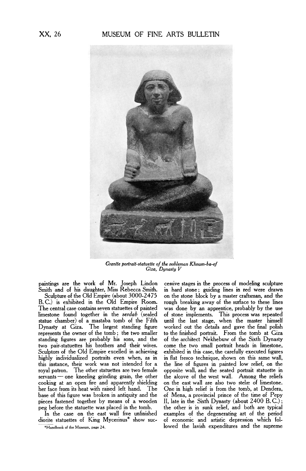### XX, 26 MUSEUM OF FINE ARTS BULLETIN



*Granite portrait-statuette of the nobleman Khnum-ba-ef Giza, Dynasty V* 

B.C.) is exhibited in the Old Empire Room.<br>The central case contains seven statuettes of painted The central case contains seven statuettes of painted was done by an apprentice, probably by the use limestone found together in the *serdab* (sealed of stone implements. This process was repeated limestone found together in the *serdab* (sealed of stone implements. This process was repeated statue chamber) of a mastaba tomb of the Fifth until the last stage, when the master himself statue chamber) of a mastaba tomb of the Fifth until the last stage, when the master himself Dynasty at Giza. The largest standing figure worked out the details and gave the final polish represents the owner of the tomb; t standing figures are probably his sons, and the of the architect Nekhebuw of the Sixth Dynasty two pair-statuettes his brothers and their wives. Sculptors of the Old Empire excelled in achieving exhibited in this case, the carefully executed figures highly individualized portraits even when, as in in flat fresco technique, shown on this same wall, this instance, their work was not intended for a the line of figures in painted low relief, on the royal patron. The other statuettes are two female opposite wall, and the seated portrait statuette in servants - one kneeling grinding grain, the other the alcove of the west wall. Among the reliefs cooking at an open fire and apparently shielding on the east wall are also two stelæ of limestone.<br>her face from its heat with raised left hand. The One in high relief is from the tomb, at Dendera, her face from its heat with raised left hand. The base of this figure was broken in antiquity and the of Mena, a provincial prince of the time of Pepy pieces fastened together by means of a wooden II, late in the Sixth Dynasty (about 2400 B.C.);<br>peg before the statuette was placed in the tomb. <br>the other is in sunk relief, and both are typical

paintings are the work of Mr. Joseph Lindon cessive stages in the process of modeling sculpture  $\frac{1}{10}$  and of his daughter, Miss Rebecca Smith. in hard stone; guiding lines in red were drawn<br>Sculpture of the Old Empire (about 3000-2475) on the stone block by a master craftsman, and the on the stone block by a master craftsman, and the rough breaking away of the surface to these lines to the finished portrait. From the tomb at Giza<br>of the architect Nekhebuw of the Sixth Dynasty g before the statuette was placed in the tomb. In the other is in sunk relief, and both are typical<br>In the case on the east wall five unfinished examples of the degenerating art of the period In the case on the east wall five unfinished examples of the degenerating art of the period of economic and artistic depression which fol-**\*Handbook** of **the Museum, [page 24.](#page-0-0)** lowed the lavish expenditures and the supreme